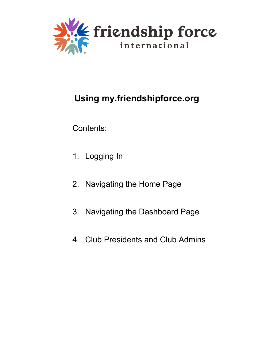

# **Using my.friendshipforce.org**

Contents:

- 1. Logging In
- 2. Navigating the Home Page
- 3. Navigating the Dashboard Page
- 4. Club Presidents and Club Admins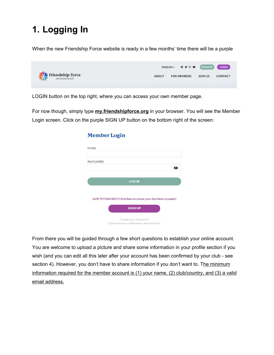# **1. Logging In**

When the new Friendship Force website is ready in a few months' time there will be a purple



LOGIN button on the top right, where you can access your own member page.

For now though, simply type **[my.friendshipforce.org](https://my.friendshipforce.org/)** in your browser. You will see the Member Login screen. Click on the purple SIGN UP button on the bottom right of the screen:

| <b>EMAIL</b>    |                                                                 |   |
|-----------------|-----------------------------------------------------------------|---|
|                 |                                                                 |   |
| <b>PASSWORD</b> |                                                                 |   |
|                 |                                                                 | o |
|                 | <b>LOG IN</b>                                                   |   |
|                 |                                                                 |   |
|                 | NEW TO THIS SITE? Click here to create your free basic account! |   |
|                 | <b>SIGN UP</b>                                                  |   |
|                 |                                                                 |   |

#### Member Login

From there you will be guided through a few short questions to establish your online account. You are welcome to upload a picture and share some information in your profile section if you wish (and you can edit all this later after your account has been confirmed by your club - see section 4). However, you don't have to share information if you don't want to. The minimum information required for the member account is (1) your name, (2) club/country, and (3) a valid email address.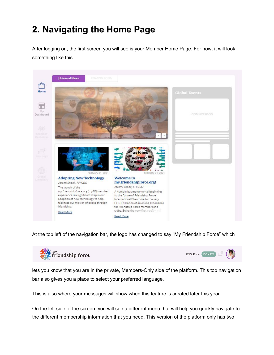# **2. Navigating the Home Page**

After logging on, the first screen you will see is your Member Home Page. For now, it will look something like this.



At the top left of the navigation bar, the logo has changed to say "My Friendship Force" which



lets you know that you are in the private, Members-Only side of the platform. This top navigation bar also gives you a place to select your preferred language.

This is also where your messages will show when this feature is created later this year.

On the left side of the screen, you will see a different menu that will help you quickly navigate to the different membership information that you need. This version of the platform only has two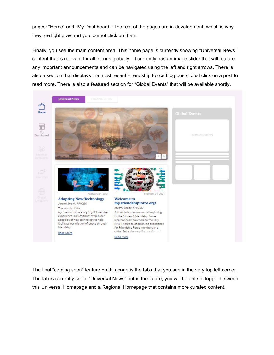pages: "Home" and "My Dashboard." The rest of the pages are in development, which is why they are light gray and you cannot click on them.

Finally, you see the main content area. This home page is currently showing "Universal News" content that is relevant for all friends globally. It currently has an image slider that will feature any important announcements and can be navigated using the left and right arrows. There is also a section that displays the most recent Friendship Force blog posts. Just click on a post to read more. There is also a featured section for "Global Events" that will be available shortly.



The final "coming soon" feature on this page is the tabs that you see in the very top left corner. The tab is currently set to "Universal News" but in the future, you will be able to toggle between this Universal Homepage and a Regional Homepage that contains more curated content.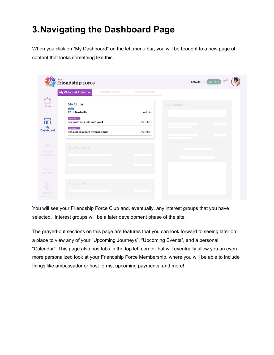## **3.Navigating the Dashboard Page**

When you click on "My Dashboard" on the left menu bar, you will be brought to a new page of content that looks something like this.

|                                     | <sub>my</sub><br>friendship force                     | ENGLISH V DONATE |             |
|-------------------------------------|-------------------------------------------------------|------------------|-------------|
|                                     | <b>My Clubs and Activities</b><br>COMING SOON         | COMING SOON      |             |
| Home                                | My Clubs<br>Club <sup>1</sup>                         |                  | My Calendar |
|                                     | <b>FF of Nashville</b>                                | Admin            |             |
| 品                                   | Virtual Club<br><b>Scuba Divers International</b>     | Member           |             |
| My<br>Dashboard                     | Virtual Club<br><b>Retired Teachers International</b> | Member           |             |
| $28^{\circ}$<br>Member<br>Resources | My Journeys                                           |                  |             |
| $2^2$<br>Journeys                   |                                                       |                  |             |
| Global<br>Directory                 | My Events                                             |                  |             |

You will see your Friendship Force Club and, eventually, any interest groups that you have selected. Interest groups will be a later development phase of the site.

The grayed-out sections on this page are features that you can look forward to seeing later on: a place to view any of your "Upcoming Journeys", "Upcoming Events", and a personal "Calendar". This page also has tabs in the top left corner that will eventually allow you an even more personalized look at your Friendship Force Membership, where you will be able to include things like ambassador or host forms, upcoming payments, and more!